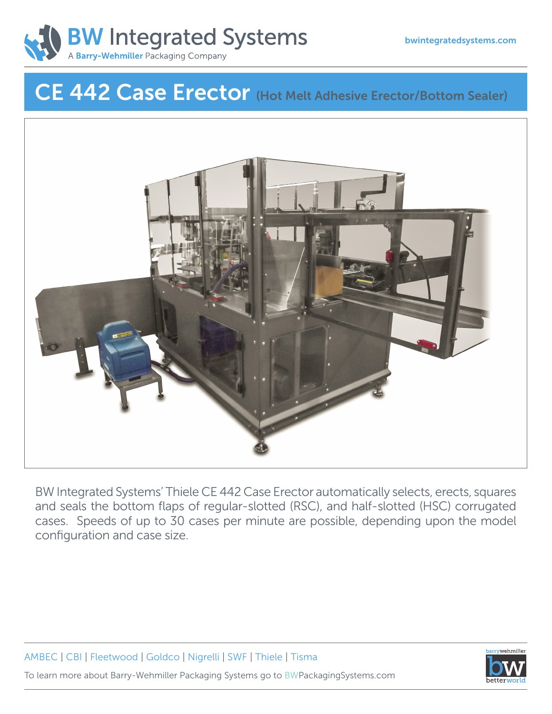

# CE 442 Case Erector (Hot Melt Adhesive Erector/Bottom Sealer)



BW Integrated Systems' Thiele CE 442 Case Erector automatically selects, erects, squares and seals the bottom flaps of regular-slotted (RSC), and half-slotted (HSC) corrugated cases. Speeds of up to 30 cases per minute are possible, depending upon the model configuration and case size.

AMBEC | CBI | Fleetwood | Goldco | Nigrelli | SWF | Thiele | Tisma [To learn more about Barry-Wehmiller Packaging Systems go to BWPackagingSystems.com](http://www.bwpackagingsystems.com)